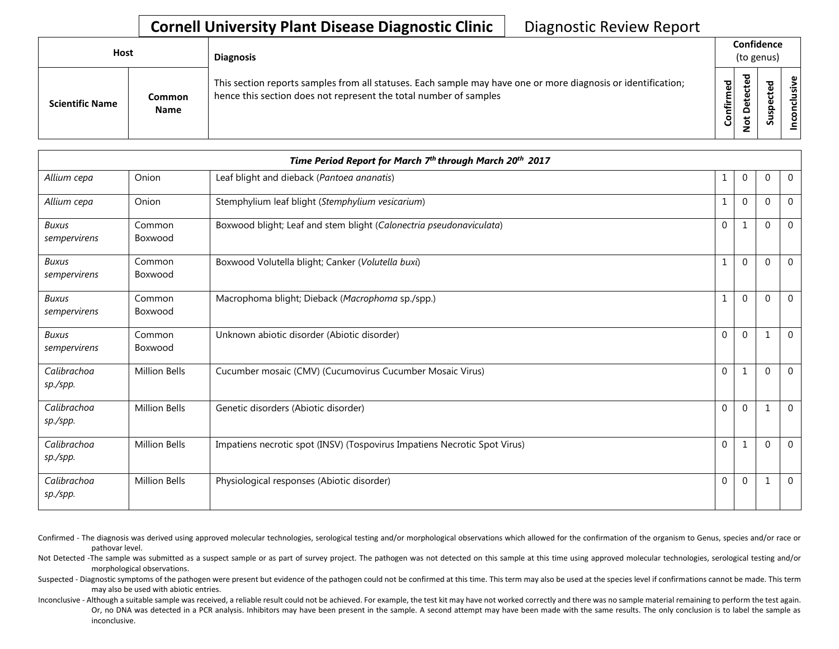## **Cornell University Plant Disease Diagnostic Clinic** | Diagnostic Review Report

| Host                   |                       | <b>Diagnosis</b>                                                                                                                                                                   |           | Confidence<br>(to genus) |   |                 |  |  |
|------------------------|-----------------------|------------------------------------------------------------------------------------------------------------------------------------------------------------------------------------|-----------|--------------------------|---|-----------------|--|--|
| <b>Scientific Name</b> | Common<br><b>Name</b> | This section reports samples from all statuses. Each sample may have one or more diagnosis or identification;<br>hence this section does not represent the total number of samples | Confirmed | ≖<br>≏<br>سە             | s | usive<br>ē<br>g |  |  |

|                              |                      | Time Period Report for March 7th through March 20th 2017                  |              |                |              |             |
|------------------------------|----------------------|---------------------------------------------------------------------------|--------------|----------------|--------------|-------------|
| Allium cepa                  | Onion                | Leaf blight and dieback (Pantoea ananatis)                                | $\mathbf{1}$ | $\overline{0}$ | $\mathbf{0}$ | $\mathbf 0$ |
| Allium cepa                  | Onion                | Stemphylium leaf blight (Stemphylium vesicarium)                          | 1            | $\mathbf{0}$   | $\Omega$     | $\Omega$    |
| <b>Buxus</b><br>sempervirens | Common<br>Boxwood    | Boxwood blight; Leaf and stem blight (Calonectria pseudonaviculata)       | 0            | 1              | $\Omega$     | $\mathbf 0$ |
| <b>Buxus</b><br>sempervirens | Common<br>Boxwood    | Boxwood Volutella blight; Canker (Volutella buxi)                         | 1            | $\Omega$       | $\Omega$     | $\Omega$    |
| <b>Buxus</b><br>sempervirens | Common<br>Boxwood    | Macrophoma blight; Dieback (Macrophoma sp./spp.)                          | 1            | $\overline{0}$ | $\Omega$     | $\Omega$    |
| <b>Buxus</b><br>sempervirens | Common<br>Boxwood    | Unknown abiotic disorder (Abiotic disorder)                               | $\mathbf{0}$ | $\mathbf{0}$   | 1            | $\Omega$    |
| Calibrachoa<br>sp./spp.      | <b>Million Bells</b> | Cucumber mosaic (CMV) (Cucumovirus Cucumber Mosaic Virus)                 | $\mathbf{0}$ |                | $\mathbf{0}$ | $\Omega$    |
| Calibrachoa<br>sp./spp.      | <b>Million Bells</b> | Genetic disorders (Abiotic disorder)                                      | $\mathbf 0$  | $\overline{0}$ | $\mathbf{1}$ | $\mathbf 0$ |
| Calibrachoa<br>sp./spp.      | <b>Million Bells</b> | Impatiens necrotic spot (INSV) (Tospovirus Impatiens Necrotic Spot Virus) | $\mathbf 0$  | 1              | $\Omega$     | $\Omega$    |
| Calibrachoa<br>sp./spp.      | <b>Million Bells</b> | Physiological responses (Abiotic disorder)                                | $\mathbf{0}$ | $\mathbf{0}$   | $\mathbf{1}$ | $\Omega$    |

Confirmed - The diagnosis was derived using approved molecular technologies, serological testing and/or morphological observations which allowed for the confirmation of the organism to Genus, species and/or race or pathovar level.

Not Detected -The sample was submitted as a suspect sample or as part of survey project. The pathogen was not detected on this sample at this time using approved molecular technologies, serological testing and/or morphological observations.

Suspected - Diagnostic symptoms of the pathogen were present but evidence of the pathogen could not be confirmed at this time. This term may also be used at the species level if confirmations cannot be made. This term may also be used with abiotic entries.

Inconclusive - Although a suitable sample was received, a reliable result could not be achieved. For example, the test kit may have not worked correctly and there was no sample material remaining to perform the test again. Or, no DNA was detected in a PCR analysis. Inhibitors may have been present in the sample. A second attempt may have been made with the same results. The only conclusion is to label the sample as inconclusive.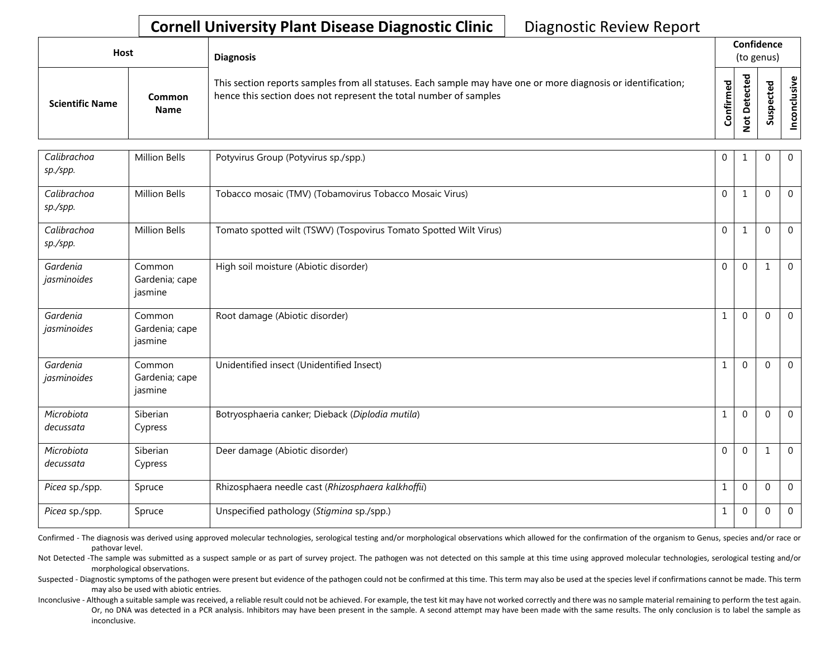## **Cornell University Plant Disease Diagnostic Clinic** | Diagnostic Review Report

| Host                   |                       | <b>Diagnosis</b>                                                                                                                                                                   |           | Confidence<br>(to genus) |   |        |
|------------------------|-----------------------|------------------------------------------------------------------------------------------------------------------------------------------------------------------------------------|-----------|--------------------------|---|--------|
| <b>Scientific Name</b> | Common<br><b>Name</b> | This section reports samples from all statuses. Each sample may have one or more diagnosis or identification;<br>hence this section does not represent the total number of samples | Confirmed | ᇃ<br>Φ<br>$\Omega$<br>ى  | ທ | ω<br>ġ |

| Calibrachoa<br>sp./spp. | <b>Million Bells</b>                | Potyvirus Group (Potyvirus sp./spp.)                              | 0            | 1              | $\Omega$     | $\mathbf{0}$   |
|-------------------------|-------------------------------------|-------------------------------------------------------------------|--------------|----------------|--------------|----------------|
| Calibrachoa<br>sp./spp. | Million Bells                       | Tobacco mosaic (TMV) (Tobamovirus Tobacco Mosaic Virus)           | $\mathbf{0}$ | $\mathbf{1}$   | $\Omega$     | $\overline{0}$ |
| Calibrachoa<br>sp./spp. | <b>Million Bells</b>                | Tomato spotted wilt (TSWV) (Tospovirus Tomato Spotted Wilt Virus) | $\mathbf 0$  | 1              | $\Omega$     | $\mathbf 0$    |
| Gardenia<br>jasminoides | Common<br>Gardenia; cape<br>jasmine | High soil moisture (Abiotic disorder)                             | $\mathbf 0$  | $\mathbf 0$    | 1            | $\Omega$       |
| Gardenia<br>jasminoides | Common<br>Gardenia; cape<br>jasmine | Root damage (Abiotic disorder)                                    | $\mathbf 1$  | $\overline{0}$ | $\mathbf{0}$ | $\mathbf{0}$   |
| Gardenia<br>jasminoides | Common<br>Gardenia; cape<br>jasmine | Unidentified insect (Unidentified Insect)                         | 1            | $\overline{0}$ | $\Omega$     | $\Omega$       |
| Microbiota<br>decussata | Siberian<br>Cypress                 | Botryosphaeria canker; Dieback (Diplodia mutila)                  | $\mathbf{1}$ | $\mathbf{0}$   | $\mathbf 0$  | $\mathbf 0$    |
| Microbiota<br>decussata | Siberian<br>Cypress                 | Deer damage (Abiotic disorder)                                    | $\mathbf{0}$ | $\mathbf 0$    | 1            | $\mathbf{0}$   |
| Picea sp./spp.          | Spruce                              | Rhizosphaera needle cast (Rhizosphaera kalkhoffü)                 | $\mathbf 1$  | $\mathbf 0$    | $\mathbf 0$  | $\mathbf 0$    |
| Picea sp./spp.          | Spruce                              | Unspecified pathology (Stigmina sp./spp.)                         | 1            | $\mathbf{0}$   | $\mathbf{0}$ | $\mathbf 0$    |

Confirmed - The diagnosis was derived using approved molecular technologies, serological testing and/or morphological observations which allowed for the confirmation of the organism to Genus, species and/or race or pathovar level.

Not Detected -The sample was submitted as a suspect sample or as part of survey project. The pathogen was not detected on this sample at this time using approved molecular technologies, serological testing and/or morphological observations.

Suspected - Diagnostic symptoms of the pathogen were present but evidence of the pathogen could not be confirmed at this time. This term may also be used at the species level if confirmations cannot be made. This term may also be used with abiotic entries.

Inconclusive - Although a suitable sample was received, a reliable result could not be achieved. For example, the test kit may have not worked correctly and there was no sample material remaining to perform the test again. Or, no DNA was detected in a PCR analysis. Inhibitors may have been present in the sample. A second attempt may have been made with the same results. The only conclusion is to label the sample as inconclusive.